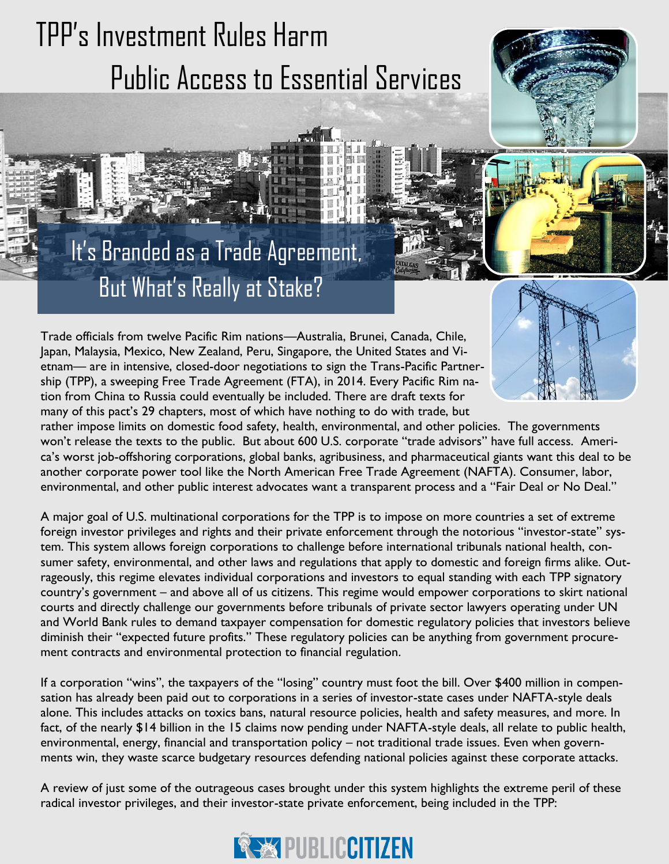# TPP's Investment Rules Harm Public Access to Essential Services



# But What's Really at Stake? It's Branded as a Trade Agreement,

Trade officials from twelve Pacific Rim nations—Australia, Brunei, Canada, Chile, Japan, Malaysia, Mexico, New Zealand, Peru, Singapore, the United States and Vietnam— are in intensive, closed-door negotiations to sign the Trans-Pacific Partnership (TPP), a sweeping Free Trade Agreement (FTA), in 2014. Every Pacific Rim nation from China to Russia could eventually be included. There are draft texts for many of this pact's 29 chapters, most of which have nothing to do with trade, but



rather impose limits on domestic food safety, health, environmental, and other policies. The governments won't release the texts to the public. But about 600 U.S. corporate "trade advisors" have full access. America's worst job-offshoring corporations, global banks, agribusiness, and pharmaceutical giants want this deal to be another corporate power tool like the North American Free Trade Agreement (NAFTA). Consumer, labor, environmental, and other public interest advocates want a transparent process and a "Fair Deal or No Deal."

A major goal of U.S. multinational corporations for the TPP is to impose on more countries a set of extreme foreign investor privileges and rights and their private enforcement through the notorious "investor-state" system. This system allows foreign corporations to challenge before international tribunals national health, consumer safety, environmental, and other laws and regulations that apply to domestic and foreign firms alike. Outrageously, this regime elevates individual corporations and investors to equal standing with each TPP signatory country's government – and above all of us citizens. This regime would empower corporations to skirt national courts and directly challenge our governments before tribunals of private sector lawyers operating under UN and World Bank rules to demand taxpayer compensation for domestic regulatory policies that investors believe diminish their "expected future profits." These regulatory policies can be anything from government procurement contracts and environmental protection to financial regulation.

If a corporation "wins", the taxpayers of the "losing" country must foot the bill. Over \$400 million in compensation has already been paid out to corporations in a series of investor-state cases under NAFTA-style deals alone. This includes attacks on toxics bans, natural resource policies, health and safety measures, and more. In fact, of the nearly \$14 billion in the 15 claims now pending under NAFTA-style deals, all relate to public health, environmental, energy, financial and transportation policy – not traditional trade issues. Even when governments win, they waste scarce budgetary resources defending national policies against these corporate attacks.

A review of just some of the outrageous cases brought under this system highlights the extreme peril of these radical investor privileges, and their investor-state private enforcement, being included in the TPP:

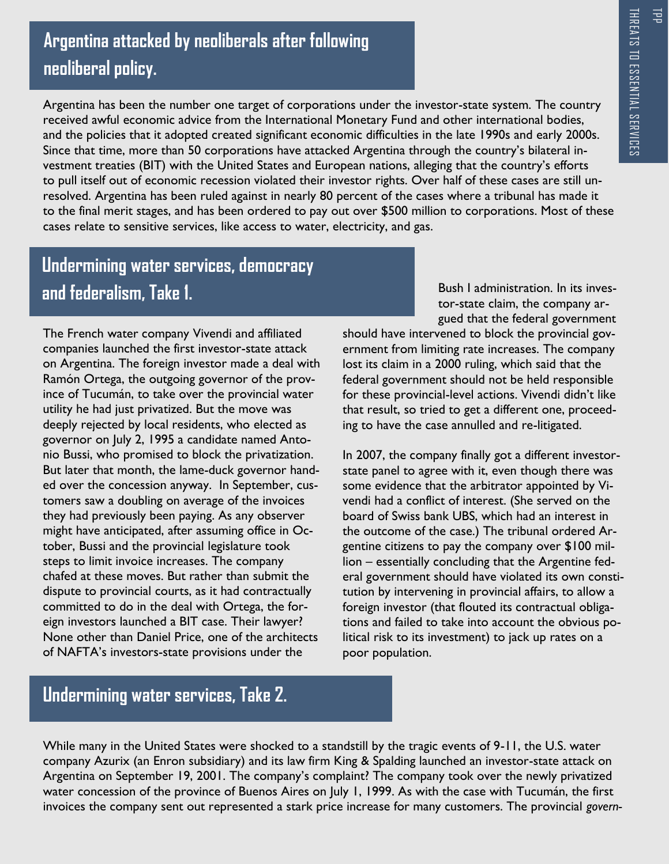콤

## **Argentina attacked by neoliberals after following neoliberal policy.**

Argentina has been the number one target of corporations under the investor-state system. The country received awful economic advice from the International Monetary Fund and other international bodies, and the policies that it adopted created significant economic difficulties in the late 1990s and early 2000s. Since that time, more than 50 corporations have attacked Argentina through the country's bilateral investment treaties (BIT) with the United States and European nations, alleging that the country's efforts to pull itself out of economic recession violated their investor rights. Over half of these cases are still unresolved. Argentina has been ruled against in nearly 80 percent of the cases where a tribunal has made it to the final merit stages, and has been ordered to pay out over \$500 million to corporations. Most of these cases relate to sensitive services, like access to water, electricity, and gas.

### **Undermining water services, democracy and federalism, Take 1.**

The French water company Vivendi and affiliated companies launched the first investor-state attack on Argentina. The foreign investor made a deal with Ramón Ortega, the outgoing governor of the province of Tucumán, to take over the provincial water utility he had just privatized. But the move was deeply rejected by local residents, who elected as governor on July 2, 1995 a candidate named Antonio Bussi, who promised to block the privatization. But later that month, the lame-duck governor handed over the concession anyway. In September, customers saw a doubling on average of the invoices they had previously been paying. As any observer might have anticipated, after assuming office in October, Bussi and the provincial legislature took steps to limit invoice increases. The company chafed at these moves. But rather than submit the dispute to provincial courts, as it had contractually committed to do in the deal with Ortega, the foreign investors launched a BIT case. Their lawyer? None other than Daniel Price, one of the architects of NAFTA's investors-state provisions under the

Bush I administration. In its investor-state claim, the company argued that the federal government

should have intervened to block the provincial government from limiting rate increases. The company lost its claim in a 2000 ruling, which said that the federal government should not be held responsible for these provincial-level actions. Vivendi didn't like that result, so tried to get a different one, proceeding to have the case annulled and re-litigated.

In 2007, the company finally got a different investorstate panel to agree with it, even though there was some evidence that the arbitrator appointed by Vivendi had a conflict of interest. (She served on the board of Swiss bank UBS, which had an interest in the outcome of the case.) The tribunal ordered Argentine citizens to pay the company over \$100 million – essentially concluding that the Argentine federal government should have violated its own constitution by intervening in provincial affairs, to allow a foreign investor (that flouted its contractual obligations and failed to take into account the obvious political risk to its investment) to jack up rates on a poor population.

#### **Undermining water services, Take 2.**

While many in the United States were shocked to a standstill by the tragic events of 9-11, the U.S. water company Azurix (an Enron subsidiary) and its law firm King & Spalding launched an investor-state attack on Argentina on September 19, 2001. The company's complaint? The company took over the newly privatized water concession of the province of Buenos Aires on July 1, 1999. As with the case with Tucumán, the first invoices the company sent out represented a stark price increase for many customers. The provincial *govern-*